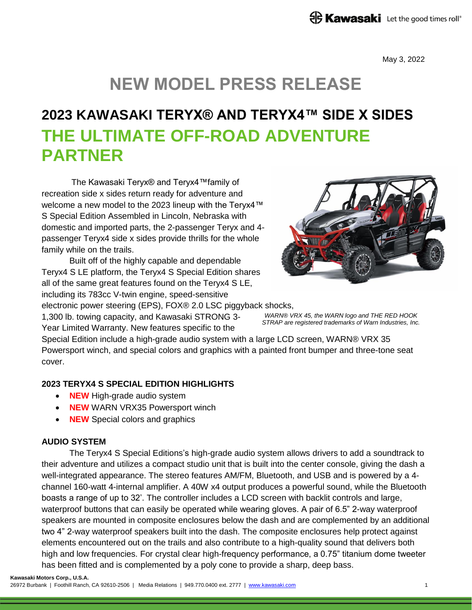May 3, 2022

# **NEW MODEL PRESS RELEASE**

## **2023 KAWASAKI TERYX® AND TERYX4™ SIDE X SIDES THE ULTIMATE OFF-ROAD ADVENTURE PARTNER**

The Kawasaki Teryx® and Teryx4™family of recreation side x sides return ready for adventure and welcome a new model to the 2023 lineup with the Teryx4™ S Special Edition Assembled in Lincoln, Nebraska with domestic and imported parts, the 2-passenger Teryx and 4 passenger Teryx4 side x sides provide thrills for the whole family while on the trails.

Built off of the highly capable and dependable Teryx4 S LE platform, the Teryx4 S Special Edition shares all of the same great features found on the Teryx4 S LE, including its 783cc V-twin engine, speed-sensitive

electronic power steering (EPS), FOX® 2.0 LSC piggyback shocks, 1,300 lb. towing capacity, and Kawasaki STRONG 3- Year Limited Warranty. New features specific to the



*WARN® VRX 45, the WARN logo and THE RED HOOK STRAP are registered trademarks of Warn Industries, Inc.*

Special Edition include a high-grade audio system with a large LCD screen, WARN® VRX 35 Powersport winch, and special colors and graphics with a painted front bumper and three-tone seat cover.

## **2023 TERYX4 S SPECIAL EDITION HIGHLIGHTS**

- **NEW** High-grade audio system
- **NEW** WARN VRX35 Powersport winch
- **NEW** Special colors and graphics

## **AUDIO SYSTEM**

The Teryx4 S Special Editions's high-grade audio system allows drivers to add a soundtrack to their adventure and utilizes a compact studio unit that is built into the center console, giving the dash a well-integrated appearance. The stereo features AM/FM, Bluetooth, and USB and is powered by a 4 channel 160-watt 4-internal amplifier. A 40W x4 output produces a powerful sound, while the Bluetooth boasts a range of up to 32'. The controller includes a LCD screen with backlit controls and large, waterproof buttons that can easily be operated while wearing gloves. A pair of 6.5" 2-way waterproof speakers are mounted in composite enclosures below the dash and are complemented by an additional two 4" 2-way waterproof speakers built into the dash. The composite enclosures help protect against elements encountered out on the trails and also contribute to a high-quality sound that delivers both high and low frequencies. For crystal clear high-frequency performance, a 0.75" titanium dome tweeter has been fitted and is complemented by a poly cone to provide a sharp, deep bass.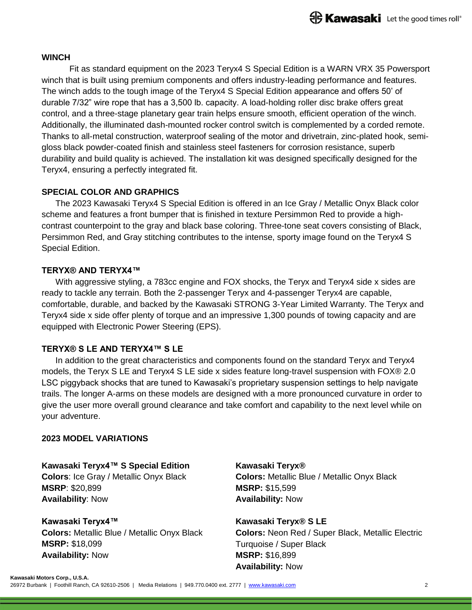#### **WINCH**

Fit as standard equipment on the 2023 Teryx4 S Special Edition is a WARN VRX 35 Powersport winch that is built using premium components and offers industry-leading performance and features. The winch adds to the tough image of the Teryx4 S Special Edition appearance and offers 50' of durable 7/32" wire rope that has a 3,500 lb. capacity. A load-holding roller disc brake offers great control, and a three-stage planetary gear train helps ensure smooth, efficient operation of the winch. Additionally, the illuminated dash-mounted rocker control switch is complemented by a corded remote. Thanks to all-metal construction, waterproof sealing of the motor and drivetrain, zinc-plated hook, semigloss black powder-coated finish and stainless steel fasteners for corrosion resistance, superb durability and build quality is achieved. The installation kit was designed specifically designed for the Teryx4, ensuring a perfectly integrated fit.

#### **SPECIAL COLOR AND GRAPHICS**

The 2023 Kawasaki Teryx4 S Special Edition is offered in an Ice Gray / Metallic Onyx Black color scheme and features a front bumper that is finished in texture Persimmon Red to provide a highcontrast counterpoint to the gray and black base coloring. Three-tone seat covers consisting of Black, Persimmon Red, and Gray stitching contributes to the intense, sporty image found on the Teryx4 S Special Edition.

#### **TERYX® AND TERYX4™**

With aggressive styling, a 783cc engine and FOX shocks, the Teryx and Teryx4 side x sides are ready to tackle any terrain. Both the 2-passenger Teryx and 4-passenger Teryx4 are capable, comfortable, durable, and backed by the Kawasaki STRONG 3-Year Limited Warranty. The Teryx and Teryx4 side x side offer plenty of torque and an impressive 1,300 pounds of towing capacity and are equipped with Electronic Power Steering (EPS).

## **TERYX® S LE AND TERYX4™ S LE**

In addition to the great characteristics and components found on the standard Teryx and Teryx4 models, the Teryx S LE and Teryx4 S LE side x sides feature long-travel suspension with FOX® 2.0 LSC piggyback shocks that are tuned to Kawasaki's proprietary suspension settings to help navigate trails. The longer A-arms on these models are designed with a more pronounced curvature in order to give the user more overall ground clearance and take comfort and capability to the next level while on your adventure.

#### **2023 MODEL VARIATIONS**

**Kawasaki Teryx4™ S Special Edition Colors**: Ice Gray / Metallic Onyx Black **MSRP**: \$20,899 **Availability**: Now

**Kawasaki Teryx4™ Colors:** Metallic Blue / Metallic Onyx Black **MSRP:** \$18,099 **Availability:** Now

**Kawasaki Teryx® Colors:** Metallic Blue / Metallic Onyx Black **MSRP:** \$15,599 **Availability:** Now

**Kawasaki Teryx® S LE Colors:** Neon Red / Super Black, Metallic Electric Turquoise / Super Black **MSRP:** \$16,899 **Availability:** Now